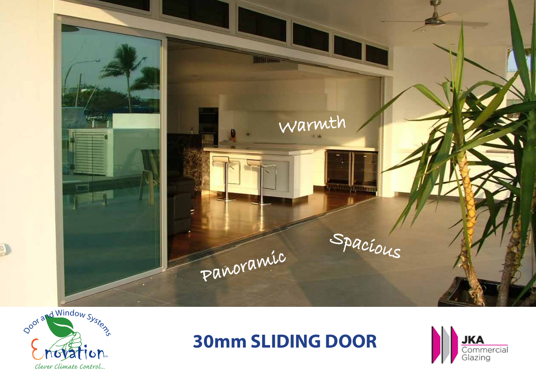



**30mm SLIDING DOOR** 

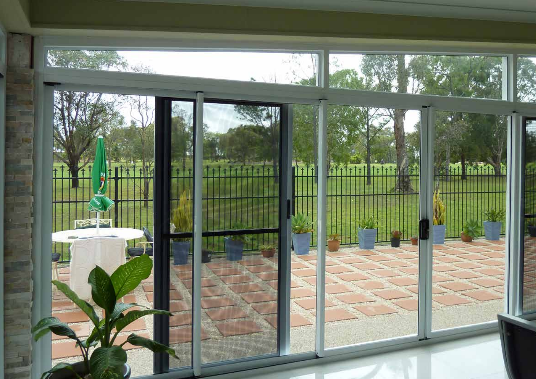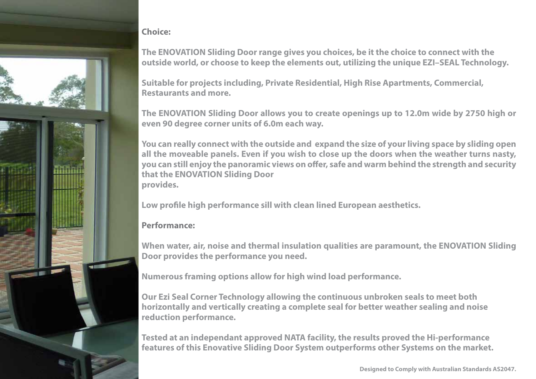

## **Choice:**

**The ENOVATION Sliding Door range gives you choices, be it the choice to connect with the outside world, or choose to keep the elements out, utilizing the unique EZI–SEAL Technology.** 

**Suitable for projects including, Private Residential, High Rise Apartments, Commercial, Restaurants and more.**

**The ENOVATION Sliding Door allows you to create openings up to 12.0m wide by 2750 high or even 90 degree corner units of 6.0m each way.** 

**You can really connect with the outside and expand the size of your living space by sliding open all the moveable panels. Even if you wish to close up the doors when the weather turns nasty, you can still enjoy the panoramic views on offer, safe and warm behind the strength and security that the ENOVATION Sliding Door provides.**

**Low profile high performance sill with clean lined European aesthetics.** 

## **Performance:**

**When water, air, noise and thermal insulation qualities are paramount, the ENOVATION Sliding Door provides the performance you need.** 

**Numerous framing options allow for high wind load performance.**

**Our Ezi Seal Corner Technology allowing the continuous unbroken seals to meet both horizontally and vertically creating a complete seal for better weather sealing and noise reduction performance.** 

**Tested at an independant approved NATA facility, the results proved the Hi-performance features of this Enovative Sliding Door System outperforms other Systems on the market.**